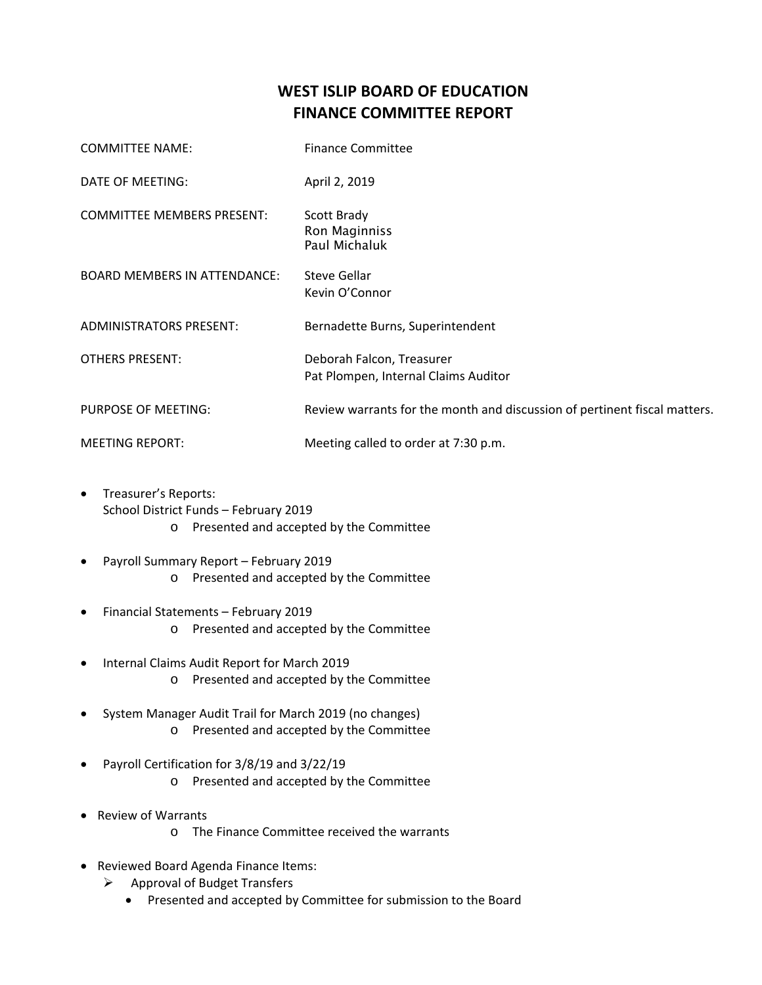## **WEST ISLIP BOARD OF EDUCATION FINANCE COMMITTEE REPORT**

| <b>COMMITTEE NAME:</b>              | <b>Finance Committee</b>                                                  |
|-------------------------------------|---------------------------------------------------------------------------|
| DATE OF MEETING:                    | April 2, 2019                                                             |
| <b>COMMITTEE MEMBERS PRESENT:</b>   | Scott Brady<br>Ron Maginniss<br>Paul Michaluk                             |
| <b>BOARD MEMBERS IN ATTENDANCE:</b> | <b>Steve Gellar</b><br>Kevin O'Connor                                     |
| <b>ADMINISTRATORS PRESENT:</b>      | Bernadette Burns, Superintendent                                          |
| <b>OTHERS PRESENT:</b>              | Deborah Falcon, Treasurer<br>Pat Plompen, Internal Claims Auditor         |
| PURPOSE OF MEETING:                 | Review warrants for the month and discussion of pertinent fiscal matters. |
| <b>MEETING REPORT:</b>              | Meeting called to order at 7:30 p.m.                                      |

- Treasurer's Reports: School District Funds – February 2019 o Presented and accepted by the Committee
- Payroll Summary Report February 2019 o Presented and accepted by the Committee
- Financial Statements February 2019 o Presented and accepted by the Committee
- Internal Claims Audit Report for March 2019 o Presented and accepted by the Committee
- System Manager Audit Trail for March 2019 (no changes) o Presented and accepted by the Committee
- Payroll Certification for 3/8/19 and 3/22/19 o Presented and accepted by the Committee
- Review of Warrants
	- o The Finance Committee received the warrants
- Reviewed Board Agenda Finance Items:
	- ▶ Approval of Budget Transfers
		- Presented and accepted by Committee for submission to the Board